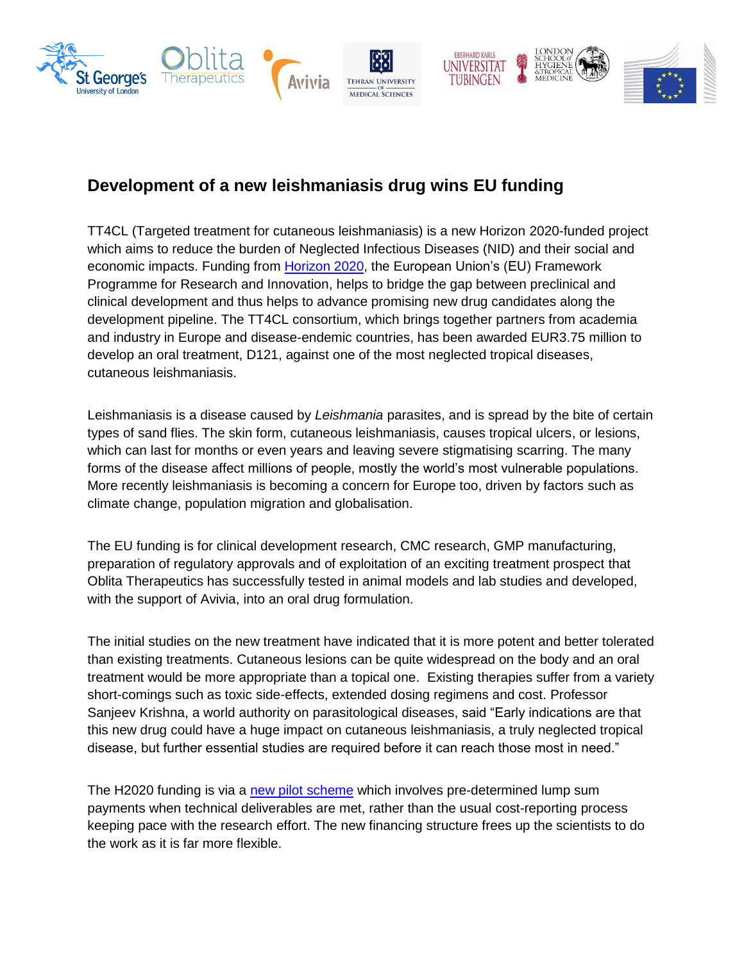

## **Development of a new leishmaniasis drug wins EU funding**

TT4CL (Targeted treatment for cutaneous leishmaniasis) is a new Horizon 2020-funded project which aims to reduce the burden of Neglected Infectious Diseases (NID) and their social and economic impacts. Funding from [Horizon 2020,](https://ec.europa.eu/programmes/horizon2020/en) the European Union's (EU) Framework Programme for Research and Innovation, helps to bridge the gap between preclinical and clinical development and thus helps to advance promising new drug candidates along the development pipeline. The TT4CL consortium, which brings together partners from academia and industry in Europe and disease-endemic countries, has been awarded EUR3.75 million to develop an oral treatment, D121, against one of the most neglected tropical diseases, cutaneous leishmaniasis.

Leishmaniasis is a disease caused by *Leishmania* parasites, and is spread by the bite of certain types of sand flies. The skin form, cutaneous leishmaniasis, causes tropical ulcers, or lesions, which can last for months or even years and leaving severe stigmatising scarring. The many forms of the disease affect millions of people, mostly the world's most vulnerable populations. More recently leishmaniasis is becoming a concern for Europe too, driven by factors such as climate change, population migration and globalisation.

The EU funding is for clinical development research, CMC research, GMP manufacturing, preparation of regulatory approvals and of exploitation of an exciting treatment prospect that Oblita Therapeutics has successfully tested in animal models and lab studies and developed, with the support of Avivia, into an oral drug formulation.

The initial studies on the new treatment have indicated that it is more potent and better tolerated than existing treatments. Cutaneous lesions can be quite widespread on the body and an oral treatment would be more appropriate than a topical one. Existing therapies suffer from a variety short-comings such as toxic side-effects, extended dosing regimens and cost. Professor Sanjeev Krishna, a world authority on parasitological diseases, said "Early indications are that this new drug could have a huge impact on cutaneous leishmaniasis, a truly neglected tropical disease, but further essential studies are required before it can reach those most in need."

The H2020 funding is via a [new pilot scheme](https://ec.europa.eu/programmes/horizon2020/sites/horizon2020/files/lump_sum_factsheet_2018-2020.pdf) which involves pre-determined lump sum payments when technical deliverables are met, rather than the usual cost-reporting process keeping pace with the research effort. The new financing structure frees up the scientists to do the work as it is far more flexible.